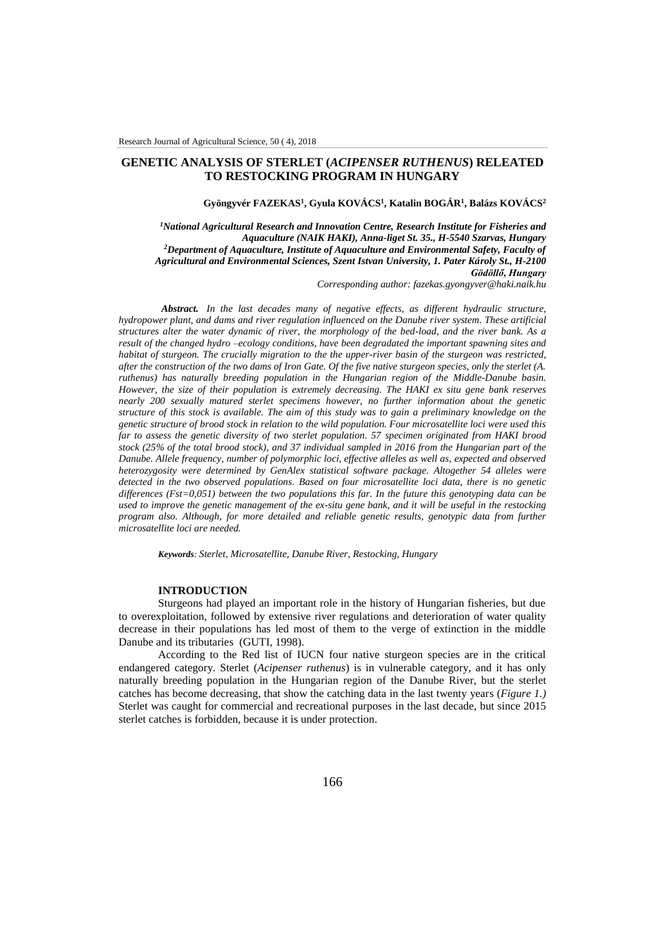# **GENETIC ANALYSIS OF STERLET (***ACIPENSER RUTHENUS***) RELEATED TO RESTOCKING PROGRAM IN HUNGARY**

#### $G$ yöngyvér FAZEKAS<sup>1</sup>, Gyula KOVÁCS<sup>1</sup>, Katalin BOGÁR<sup>1</sup>, Balázs KOVÁCS<sup>2</sup>

*<sup>1</sup>National Agricultural Research and Innovation Centre, Research Institute for Fisheries and Aquaculture (NAIK HAKI), Anna-liget St. 35., H-5540 Szarvas, Hungary <sup>2</sup>Department of Aquaculture, Institute of Aquaculture and Environmental Safety, Faculty of Agricultural and Environmental Sciences, Szent Istvan University, 1. Pater Károly St., H-2100 Gödöllő, Hungary*

*Corresponding author: fazekas.gyongyver@haki.naik.hu*

*Abstract. In the last decades many of negative effects, as different hydraulic structure, hydropower plant, and dams and river regulation influenced on the Danube river system. These artificial structures alter the water dynamic of river, the morphology of the bed-load, and the river bank. As a result of the changed hydro –ecology conditions, have been degradated the important spawning sites and habitat of sturgeon. The crucially migration to the the upper-river basin of the sturgeon was restricted, after the construction of the two dams of Iron Gate. Of the five native sturgeon species, only the sterlet (A. ruthenus) has naturally breeding population in the Hungarian region of the Middle-Danube basin. However, the size of their population is extremely decreasing. The HAKI ex situ gene bank reserves nearly 200 sexually matured sterlet specimens however, no further information about the genetic structure of this stock is available. The aim of this study was to gain a preliminary knowledge on the genetic structure of brood stock in relation to the wild population. Four microsatellite loci were used this far to assess the genetic diversity of two sterlet population. 57 specimen originated from HAKI brood stock (25% of the total brood stock), and 37 individual sampled in 2016 from the Hungarian part of the Danube. Allele frequency, number of polymorphic loci, effective alleles as well as, expected and observed heterozygosity were determined by GenAlex statistical software package. Altogether 54 alleles were detected in the two observed populations. Based on four microsatellite loci data, there is no genetic differences (Fst=0,051) between the two populations this far. In the future this genotyping data can be used to improve the genetic management of the ex-situ gene bank, and it will be useful in the restocking program also. Although, for more detailed and reliable genetic results, genotypic data from further microsatellite loci are needed.*

*Keywords: Sterlet, Microsatellite, Danube River, Restocking, Hungary*

### **INTRODUCTION**

Sturgeons had played an important role in the history of Hungarian fisheries, but due to overexploitation, followed by extensive river regulations and deterioration of water quality decrease in their populations has led most of them to the verge of extinction in the middle Danube and its tributaries (GUTI, 1998).

According to the Red list of IUCN four native sturgeon species are in the critical endangered category. Sterlet (*Acipenser ruthenus*) is in vulnerable category, and it has only naturally breeding population in the Hungarian region of the Danube River, but the sterlet catches has become decreasing, that show the catching data in the last twenty years (*Figure 1.)* Sterlet was caught for commercial and recreational purposes in the last decade, but since 2015 sterlet catches is forbidden, because it is under protection.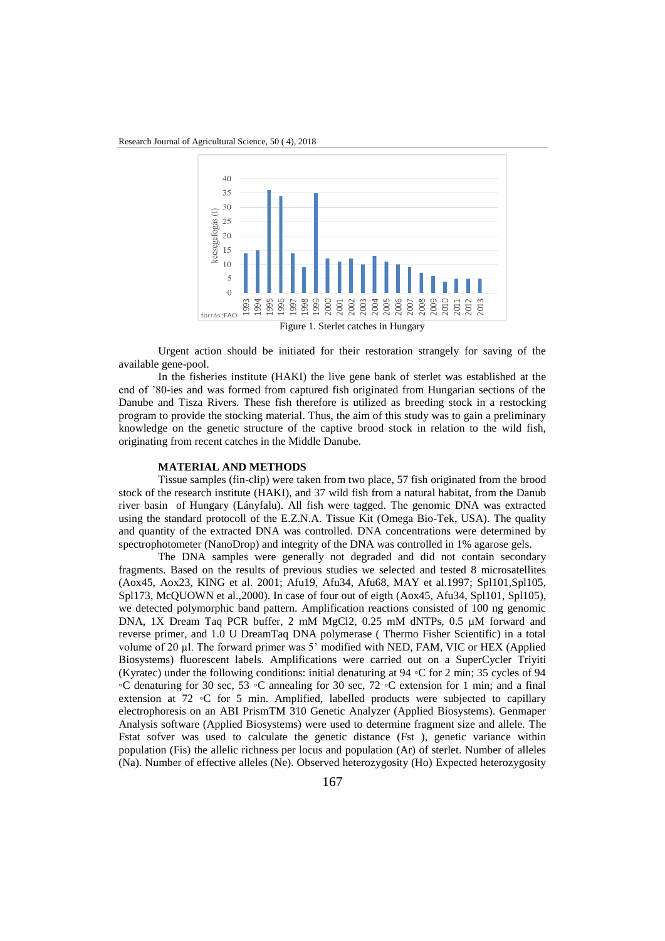

Urgent action should be initiated for their restoration strangely for saving of the available gene-pool.

In the fisheries institute (HAKI) the live gene bank of sterlet was established at the end of '80-ies and was formed from captured fish originated from Hungarian sections of the Danube and Tisza Rivers. These fish therefore is utilized as breeding stock in a restocking program to provide the stocking material. Thus, the aim of this study was to gain a preliminary knowledge on the genetic structure of the captive brood stock in relation to the wild fish, originating from recent catches in the Middle Danube.

### **MATERIAL AND METHODS**

Tissue samples (fin-clip) were taken from two place, 57 fish originated from the brood stock of the research institute (HAKI), and 37 wild fish from a natural habitat, from the Danub river basin of Hungary (Lányfalu). All fish were tagged. The genomic DNA was extracted using the standard protocoll of the E.Z.N.A. Tissue Kit (Omega Bio-Tek, USA). The quality and quantity of the extracted DNA was controlled. DNA concentrations were determined by spectrophotometer (NanoDrop) and integrity of the DNA was controlled in 1% agarose gels.

The DNA samples were generally not degraded and did not contain secondary fragments. Based on the results of previous studies we selected and tested 8 microsatellites (Aox45, Aox23, KING et al. 2001; Afu19, Afu34, Afu68, MAY et al.1997; Spl101,Spl105, Spl173, McQUOWN et al.,2000). In case of four out of eigth (Aox45, Afu34, Spl101, Spl105), we detected polymorphic band pattern. Amplification reactions consisted of 100 ng genomic DNA, 1X Dream Taq PCR buffer, 2 mM MgCl2, 0.25 mM dNTPs, 0.5 µM forward and reverse primer, and 1.0 U DreamTaq DNA polymerase ( Thermo Fisher Scientific) in a total volume of 20 µl. The forward primer was 5' modified with NED, FAM, VIC or HEX (Applied Biosystems) fluorescent labels. Amplifications were carried out on a SuperCycler Triyiti (Kyratec) under the following conditions: initial denaturing at 94 ◦C for 2 min; 35 cycles of 94 ◦C denaturing for 30 sec, 53 ◦C annealing for 30 sec, 72 ◦C extension for 1 min; and a final extension at 72  $\circ$ C for 5 min. Amplified, labelled products were subjected to capillary electrophoresis on an ABI PrismTM 310 Genetic Analyzer (Applied Biosystems). Genmaper Analysis software (Applied Biosystems) were used to determine fragment size and allele. The Fstat sofver was used to calculate the genetic distance (Fst ), genetic variance within population (Fis) the allelic richness per locus and population (Ar) of sterlet. Number of alleles (Na). Number of effective alleles (Ne). Observed heterozygosity (Ho) Expected heterozygosity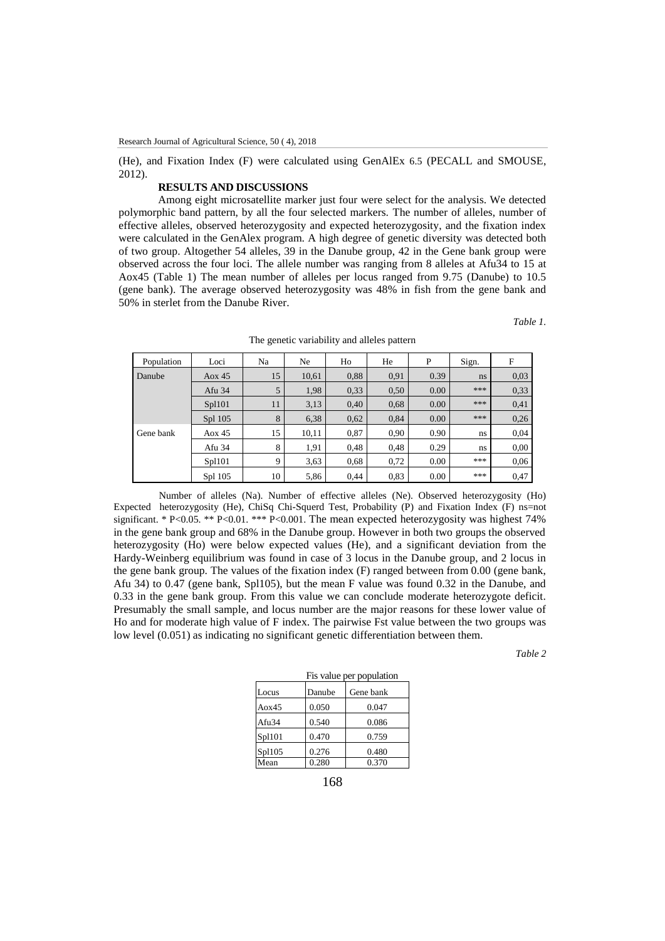(He), and Fixation Index (F) were calculated using GenAlEx 6.5 (PECALL and SMOUSE, 2012).

## **RESULTS AND DISCUSSIONS**

Among eight microsatellite marker just four were select for the analysis. We detected polymorphic band pattern, by all the four selected markers. The number of alleles, number of effective alleles, observed heterozygosity and expected heterozygosity, and the fixation index were calculated in the GenAlex program. A high degree of genetic diversity was detected both of two group. Altogether 54 alleles, 39 in the Danube group, 42 in the Gene bank group were observed across the four loci. The allele number was ranging from 8 alleles at Afu34 to 15 at Aox45 (Table 1) The mean number of alleles per locus ranged from 9.75 (Danube) to 10.5 (gene bank). The average observed heterozygosity was 48% in fish from the gene bank and 50% in sterlet from the Danube River.

*Table 1.*

| Population | Loci     | Na | Ne    | Ho   | He   | P    | Sign. | F    |
|------------|----------|----|-------|------|------|------|-------|------|
| Danube     | Aox $45$ | 15 | 10,61 | 0.88 | 0.91 | 0.39 | ns    | 0,03 |
|            | Afu 34   | 5  | 1,98  | 0.33 | 0,50 | 0.00 | ***   | 0,33 |
|            | Spl101   | 11 | 3,13  | 0.40 | 0,68 | 0.00 | ***   | 0,41 |
|            | Spl 105  | 8  | 6,38  | 0.62 | 0,84 | 0.00 | ***   | 0,26 |
| Gene bank  | Aox $45$ | 15 | 10,11 | 0.87 | 0,90 | 0.90 | ns    | 0,04 |
|            | Afu 34   | 8  | 1,91  | 0,48 | 0,48 | 0.29 | ns.   | 0,00 |
|            | Spl101   | 9  | 3,63  | 0.68 | 0,72 | 0.00 | ***   | 0,06 |
|            | Spl 105  | 10 | 5,86  | 0,44 | 0,83 | 0.00 | ***   | 0,47 |

The genetic variability and alleles pattern

Number of alleles (Na). Number of effective alleles (Ne). Observed heterozygosity (Ho) Expected heterozygosity (He), ChiSq Chi-Squerd Test, Probability (P) and Fixation Index (F) ns=not significant. \* P<0.05. \*\* P<0.01. \*\*\* P<0.001. The mean expected heterozygosity was highest 74% in the gene bank group and 68% in the Danube group. However in both two groups the observed heterozygosity (Ho) were below expected values (He), and a significant deviation from the Hardy-Weinberg equilibrium was found in case of 3 locus in the Danube group, and 2 locus in the gene bank group. The values of the fixation index (F) ranged between from 0.00 (gene bank, Afu 34) to 0.47 (gene bank, Spl105), but the mean F value was found 0.32 in the Danube, and 0.33 in the gene bank group. From this value we can conclude moderate heterozygote deficit. Presumably the small sample, and locus number are the major reasons for these lower value of Ho and for moderate high value of F index. The pairwise Fst value between the two groups was low level (0.051) as indicating no significant genetic differentiation between them.

*Table 2*

| Fis value per population |        |           |  |  |  |
|--------------------------|--------|-----------|--|--|--|
| Locus                    | Danube | Gene bank |  |  |  |
| Aox45                    | 0.050  | 0.047     |  |  |  |
| Afu34                    | 0.540  | 0.086     |  |  |  |
| Sp1101                   | 0.470  | 0.759     |  |  |  |
| Sp1105                   | 0.276  | 0.480     |  |  |  |
| Mean                     | 0.280  | 0.370     |  |  |  |
|                          |        |           |  |  |  |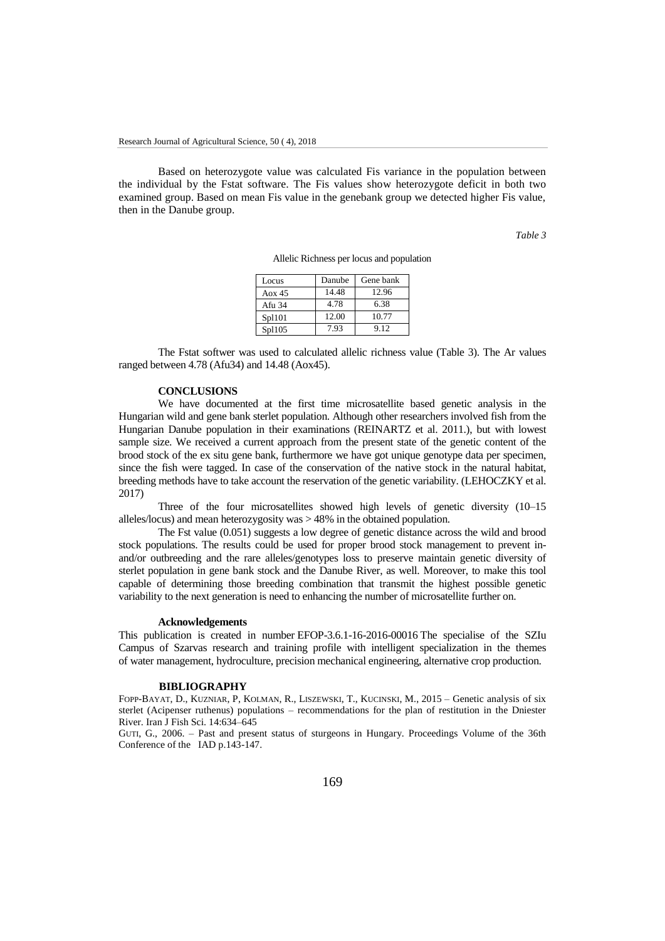Based on heterozygote value was calculated Fis variance in the population between the individual by the Fstat software. The Fis values show heterozygote deficit in both two examined group. Based on mean Fis value in the genebank group we detected higher Fis value, then in the Danube group.

*Table 3*

| Locus    | Danube | Gene bank |
|----------|--------|-----------|
| Aox $45$ | 14.48  | 12.96     |
| Afu 34   | 4.78   | 6.38      |
| Spl101   | 12.00  | 10.77     |
| Spl105   | 7.93   | 9.12      |

The Fstat softwer was used to calculated allelic richness value (Table 3). The Ar values ranged between 4.78 (Afu34) and 14.48 (Aox45).

### **CONCLUSIONS**

We have documented at the first time microsatellite based genetic analysis in the Hungarian wild and gene bank sterlet population. Although other researchers involved fish from the Hungarian Danube population in their examinations (REINARTZ et al. 2011.), but with lowest sample size. We received a current approach from the present state of the genetic content of the brood stock of the ex situ gene bank, furthermore we have got unique genotype data per specimen, since the fish were tagged. In case of the conservation of the native stock in the natural habitat, breeding methods have to take account the reservation of the genetic variability. (LEHOCZKY et al. 2017)

Three of the four microsatellites showed high levels of genetic diversity (10–15 alleles/locus) and mean heterozygosity was > 48% in the obtained population.

The Fst value (0.051) suggests a low degree of genetic distance across the wild and brood stock populations. The results could be used for proper brood stock management to prevent inand/or outbreeding and the rare alleles/genotypes loss to preserve maintain genetic diversity of sterlet population in gene bank stock and the Danube River, as well. Moreover, to make this tool capable of determining those breeding combination that transmit the highest possible genetic variability to the next generation is need to enhancing the number of microsatellite further on.

#### **Acknowledgements**

This publication is created in number EFOP-3.6.1-16-2016-00016 The specialise of the SZIu Campus of Szarvas research and training profile with intelligent specialization in the themes of water management, hydroculture, precision mechanical engineering, alternative crop production.

#### **BIBLIOGRAPHY**

FOPP-BAYAT, D., KUZNIAR, P, KOLMAN, R., LISZEWSKI, T., KUCINSKI, M., 2015 – Genetic analysis of six sterlet (Acipenser ruthenus) populations – recommendations for the plan of restitution in the Dniester River. Iran J Fish Sci. 14:634–645

GUTI, G., 2006. – Past and present status of sturgeons in Hungary. Proceedings Volume of the 36th Conference of the IAD p.143-147.